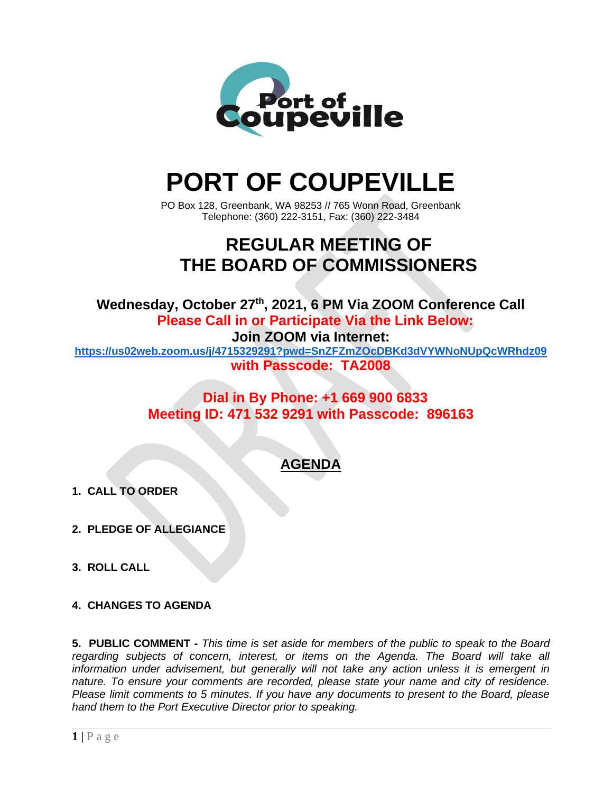

# **PORT OF COUPEVILLE**

PO Box 128, Greenbank, WA 98253 // 765 Wonn Road, Greenbank Telephone: (360) 222-3151, Fax: (360) 222-3484

## **REGULAR MEETING OF THE BOARD OF COMMISSIONERS**

**Wednesday, October 27 th , 2021, 6 PM Via ZOOM Conference Call Please Call in or Participate Via the Link Below: Join ZOOM via Internet:**

**<https://us02web.zoom.us/j/4715329291?pwd=SnZFZmZOcDBKd3dVYWNoNUpQcWRhdz09> with Passcode: TA2008**

> **Dial in By Phone: +1 669 900 6833 Meeting ID: 471 532 9291 with Passcode: 896163**

### **AGENDA**

- **1. CALL TO ORDER**
- **2. PLEDGE OF ALLEGIANCE**
- **3. ROLL CALL**
- **4. CHANGES TO AGENDA**

**5. PUBLIC COMMENT -** *This time is set aside for members of the public to speak to the Board regarding subjects of concern, interest, or items on the Agenda. The Board will take all information under advisement, but generally will not take any action unless it is emergent in nature. To ensure your comments are recorded, please state your name and city of residence. Please limit comments to 5 minutes. If you have any documents to present to the Board, please hand them to the Port Executive Director prior to speaking.*